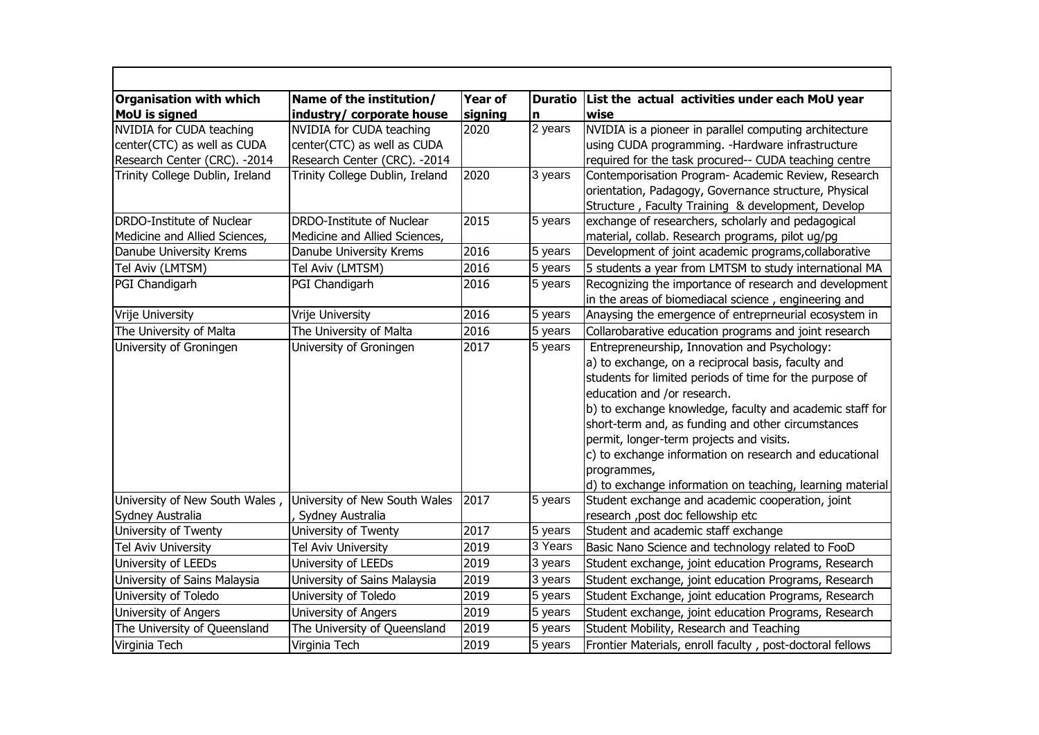| <b>Organisation with which</b><br><b>MoU</b> is signed | Name of the institution/<br>industry/ corporate house | <b>Year of</b><br>signing | n       | Duratio List the actual activities under each MoU year<br>wise                                                                                                                                                                                                                                                                                                                                                                                                                                   |
|--------------------------------------------------------|-------------------------------------------------------|---------------------------|---------|--------------------------------------------------------------------------------------------------------------------------------------------------------------------------------------------------------------------------------------------------------------------------------------------------------------------------------------------------------------------------------------------------------------------------------------------------------------------------------------------------|
| NVIDIA for CUDA teaching                               | NVIDIA for CUDA teaching                              | 2020                      | 2 years | NVIDIA is a pioneer in parallel computing architecture                                                                                                                                                                                                                                                                                                                                                                                                                                           |
| center(CTC) as well as CUDA                            | center(CTC) as well as CUDA                           |                           |         | using CUDA programming. - Hardware infrastructure                                                                                                                                                                                                                                                                                                                                                                                                                                                |
| Research Center (CRC). - 2014                          | Research Center (CRC). - 2014                         |                           |         | required for the task procured-- CUDA teaching centre                                                                                                                                                                                                                                                                                                                                                                                                                                            |
| Trinity College Dublin, Ireland                        | Trinity College Dublin, Ireland                       | 2020                      | 3 years | Contemporisation Program- Academic Review, Research                                                                                                                                                                                                                                                                                                                                                                                                                                              |
|                                                        |                                                       |                           |         | orientation, Padagogy, Governance structure, Physical                                                                                                                                                                                                                                                                                                                                                                                                                                            |
|                                                        |                                                       |                           |         | Structure, Faculty Training & development, Develop                                                                                                                                                                                                                                                                                                                                                                                                                                               |
| DRDO-Institute of Nuclear                              | DRDO-Institute of Nuclear                             | 2015                      | 5 years | exchange of researchers, scholarly and pedagogical                                                                                                                                                                                                                                                                                                                                                                                                                                               |
| Medicine and Allied Sciences,                          | Medicine and Allied Sciences,                         |                           |         | material, collab. Research programs, pilot ug/pg                                                                                                                                                                                                                                                                                                                                                                                                                                                 |
| Danube University Krems                                | Danube University Krems                               | 2016                      | 5 years | Development of joint academic programs, collaborative                                                                                                                                                                                                                                                                                                                                                                                                                                            |
| Tel Aviv (LMTSM)                                       | Tel Aviv (LMTSM)                                      | 2016                      | 5 years | 5 students a year from LMTSM to study international MA                                                                                                                                                                                                                                                                                                                                                                                                                                           |
| PGI Chandigarh                                         | PGI Chandigarh                                        | 2016                      | 5 years | Recognizing the importance of research and development                                                                                                                                                                                                                                                                                                                                                                                                                                           |
|                                                        |                                                       |                           |         | in the areas of biomediacal science, engineering and                                                                                                                                                                                                                                                                                                                                                                                                                                             |
| Vrije University                                       | Vrije University                                      | 2016                      | 5 years | Anaysing the emergence of entreprneurial ecosystem in                                                                                                                                                                                                                                                                                                                                                                                                                                            |
| The University of Malta                                | The University of Malta                               | 2016                      | 5 years | Collarobarative education programs and joint research                                                                                                                                                                                                                                                                                                                                                                                                                                            |
| University of Groningen                                | University of Groningen                               | 2017                      | 5 years | Entrepreneurship, Innovation and Psychology:<br>a) to exchange, on a reciprocal basis, faculty and<br>students for limited periods of time for the purpose of<br>education and /or research.<br>b) to exchange knowledge, faculty and academic staff for<br>short-term and, as funding and other circumstances<br>permit, longer-term projects and visits.<br>c) to exchange information on research and educational<br>programmes,<br>d) to exchange information on teaching, learning material |
| University of New South Wales,                         | University of New South Wales                         | 2017                      | 5 years | Student exchange and academic cooperation, joint                                                                                                                                                                                                                                                                                                                                                                                                                                                 |
| Sydney Australia                                       | Sydney Australia                                      |                           |         | research, post doc fellowship etc                                                                                                                                                                                                                                                                                                                                                                                                                                                                |
| University of Twenty                                   | University of Twenty                                  | 2017                      | 5 years | Student and academic staff exchange                                                                                                                                                                                                                                                                                                                                                                                                                                                              |
| Tel Aviv University                                    | Tel Aviv University                                   | 2019                      | 3 Years | Basic Nano Science and technology related to FooD                                                                                                                                                                                                                                                                                                                                                                                                                                                |
| University of LEEDs                                    | University of LEEDs                                   | 2019                      | 3 years | Student exchange, joint education Programs, Research                                                                                                                                                                                                                                                                                                                                                                                                                                             |
| University of Sains Malaysia                           | University of Sains Malaysia                          | 2019                      | 3 years | Student exchange, joint education Programs, Research                                                                                                                                                                                                                                                                                                                                                                                                                                             |
| University of Toledo                                   | University of Toledo                                  | 2019                      | 5 years | Student Exchange, joint education Programs, Research                                                                                                                                                                                                                                                                                                                                                                                                                                             |
| University of Angers                                   | University of Angers                                  | 2019                      | 5 years | Student exchange, joint education Programs, Research                                                                                                                                                                                                                                                                                                                                                                                                                                             |
| The University of Queensland                           | The University of Queensland                          | 2019                      | 5 years | Student Mobility, Research and Teaching                                                                                                                                                                                                                                                                                                                                                                                                                                                          |
| Virginia Tech                                          | Virginia Tech                                         | 2019                      | 5 years | Frontier Materials, enroll faculty, post-doctoral fellows                                                                                                                                                                                                                                                                                                                                                                                                                                        |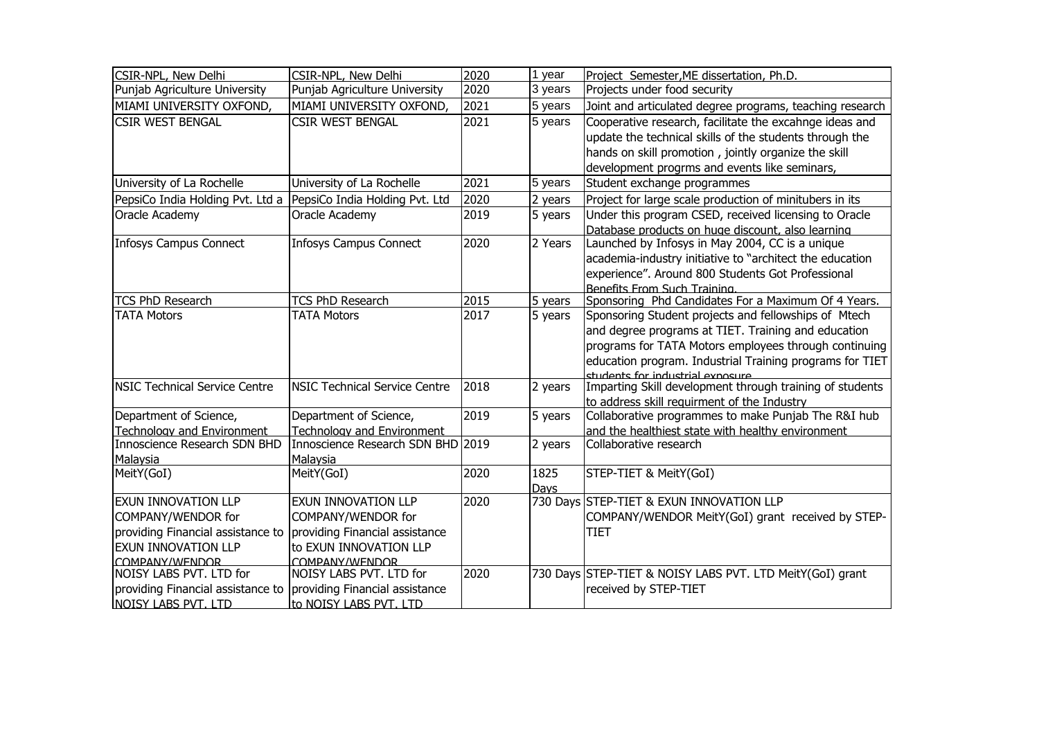| CSIR-NPL, New Delhi                       | CSIR-NPL, New Delhi                       | 2020 | 1 year  | Project Semester, ME dissertation, Ph.D.                  |
|-------------------------------------------|-------------------------------------------|------|---------|-----------------------------------------------------------|
| Punjab Agriculture University             | Punjab Agriculture University             | 2020 | 3 years | Projects under food security                              |
| MIAMI UNIVERSITY OXFOND,                  | MIAMI UNIVERSITY OXFOND,                  | 2021 | 5 years | Joint and articulated degree programs, teaching research  |
| <b>CSIR WEST BENGAL</b>                   | <b>CSIR WEST BENGAL</b>                   | 2021 | 5 years | Cooperative research, facilitate the excahnge ideas and   |
|                                           |                                           |      |         | update the technical skills of the students through the   |
|                                           |                                           |      |         | hands on skill promotion, jointly organize the skill      |
|                                           |                                           |      |         | development progrms and events like seminars,             |
| University of La Rochelle                 | University of La Rochelle                 | 2021 | 5 years | Student exchange programmes                               |
| PepsiCo India Holding Pvt. Ltd a          | PepsiCo India Holding Pvt. Ltd            | 2020 | 2 years | Project for large scale production of minitubers in its   |
| Oracle Academy                            | Oracle Academy                            | 2019 | 5 years | Under this program CSED, received licensing to Oracle     |
|                                           |                                           |      |         | Database products on huge discount, also learning         |
| <b>Infosys Campus Connect</b>             | <b>Infosys Campus Connect</b>             | 2020 | 2 Years | Launched by Infosys in May 2004, CC is a unique           |
|                                           |                                           |      |         | academia-industry initiative to "architect the education  |
|                                           |                                           |      |         | experience". Around 800 Students Got Professional         |
|                                           |                                           |      |         | Benefits From Such Training.                              |
| <b>TCS PhD Research</b>                   | <b>TCS PhD Research</b>                   | 2015 | 5 years | Sponsoring Phd Candidates For a Maximum Of 4 Years.       |
| <b>TATA Motors</b>                        | <b>TATA Motors</b>                        | 2017 | 5 years | Sponsoring Student projects and fellowships of Mtech      |
|                                           |                                           |      |         | and degree programs at TIET. Training and education       |
|                                           |                                           |      |         | programs for TATA Motors employees through continuing     |
|                                           |                                           |      |         | education program. Industrial Training programs for TIET  |
|                                           |                                           |      |         | students for industrial exposure                          |
| <b>NSIC Technical Service Centre</b>      | <b>NSIC Technical Service Centre</b>      | 2018 | 2 years | Imparting Skill development through training of students  |
|                                           |                                           |      |         | to address skill requirment of the Industry               |
| Department of Science,                    | Department of Science,                    | 2019 | 5 years | Collaborative programmes to make Punjab The R&I hub       |
| Technology and Environment                | Technology and Environment                |      |         | and the healthiest state with healthy environment         |
| Innoscience Research SDN BHD              | Innoscience Research SDN BHD 2019         |      | 2 years | Collaborative research                                    |
| Malaysia                                  | Malaysia                                  |      |         |                                                           |
| MeitY(GoI)                                | MeitY(GoI)                                | 2020 | 1825    | STEP-TIET & MeitY(GoI)                                    |
|                                           |                                           |      | Days    |                                                           |
| <b>EXUN INNOVATION LLP</b>                | <b>EXUN INNOVATION LLP</b>                | 2020 |         | 730 Days STEP-TIET & EXUN INNOVATION LLP                  |
| COMPANY/WENDOR for                        | COMPANY/WENDOR for                        |      |         | COMPANY/WENDOR MeitY(GoI) grant received by STEP-         |
| providing Financial assistance to         | providing Financial assistance            |      |         | TIET                                                      |
| <b>EXUN INNOVATION LLP</b>                | to EXUN INNOVATION LLP                    |      |         |                                                           |
| COMPANY/WENDOR<br>NOISY LABS PVT. LTD for | COMPANY/WENDOR<br>NOISY LABS PVT. LTD for | 2020 |         | 730 Days STEP-TIET & NOISY LABS PVT. LTD MeitY(GoI) grant |
| providing Financial assistance to         | providing Financial assistance            |      |         | received by STEP-TIET                                     |
|                                           |                                           |      |         |                                                           |
| NOISY LABS PVT. LTD                       | to NOISY LABS PVT. LTD                    |      |         |                                                           |